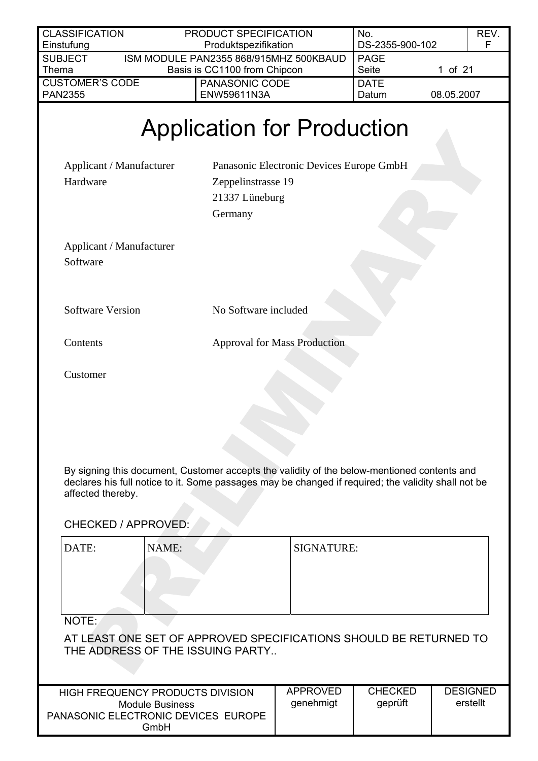| <b>CLASSIFICATION</b>                                                                                            | PRODUCT SPECIFICATION                                                                                                                                                                              |                                          | No.                       | REV.                        |
|------------------------------------------------------------------------------------------------------------------|----------------------------------------------------------------------------------------------------------------------------------------------------------------------------------------------------|------------------------------------------|---------------------------|-----------------------------|
| Einstufung                                                                                                       | Produktspezifikation                                                                                                                                                                               |                                          | DS-2355-900-102           | F                           |
| <b>SUBJECT</b><br>Thema                                                                                          | ISM MODULE PAN2355 868/915MHZ 500KBAUD<br>Basis is CC1100 from Chipcon                                                                                                                             |                                          | <b>PAGE</b><br>Seite      | 1 of 21                     |
| <b>CUSTOMER'S CODE</b><br><b>PAN2355</b>                                                                         | PANASONIC CODE<br>ENW59611N3A                                                                                                                                                                      |                                          | <b>DATE</b><br>Datum      | 08.05.2007                  |
|                                                                                                                  | <b>Application for Production</b>                                                                                                                                                                  |                                          |                           |                             |
| Applicant / Manufacturer<br>Hardware                                                                             | Zeppelinstrasse 19<br>21337 Lüneburg<br>Germany                                                                                                                                                    | Panasonic Electronic Devices Europe GmbH |                           |                             |
| Applicant / Manufacturer<br>Software                                                                             |                                                                                                                                                                                                    |                                          |                           |                             |
| <b>Software Version</b>                                                                                          | No Software included                                                                                                                                                                               |                                          |                           |                             |
| Contents                                                                                                         |                                                                                                                                                                                                    | <b>Approval for Mass Production</b>      |                           |                             |
| Customer                                                                                                         |                                                                                                                                                                                                    |                                          |                           |                             |
| affected thereby.<br><b>CHECKED / APPROVED:</b>                                                                  | By signing this document, Customer accepts the validity of the below-mentioned contents and<br>declares his full notice to it. Some passages may be changed if required; the validity shall not be |                                          |                           |                             |
| DATE:<br>NAME:                                                                                                   |                                                                                                                                                                                                    | <b>SIGNATURE:</b>                        |                           |                             |
| NOTE:                                                                                                            | AT LEAST ONE SET OF APPROVED SPECIFICATIONS SHOULD BE RETURNED TO<br>THE ADDRESS OF THE ISSUING PARTY                                                                                              |                                          |                           |                             |
| <b>HIGH FREQUENCY PRODUCTS DIVISION</b><br><b>Module Business</b><br>PANASONIC ELECTRONIC DEVICES EUROPE<br>GmbH |                                                                                                                                                                                                    | <b>APPROVED</b><br>genehmigt             | <b>CHECKED</b><br>geprüft | <b>DESIGNED</b><br>erstellt |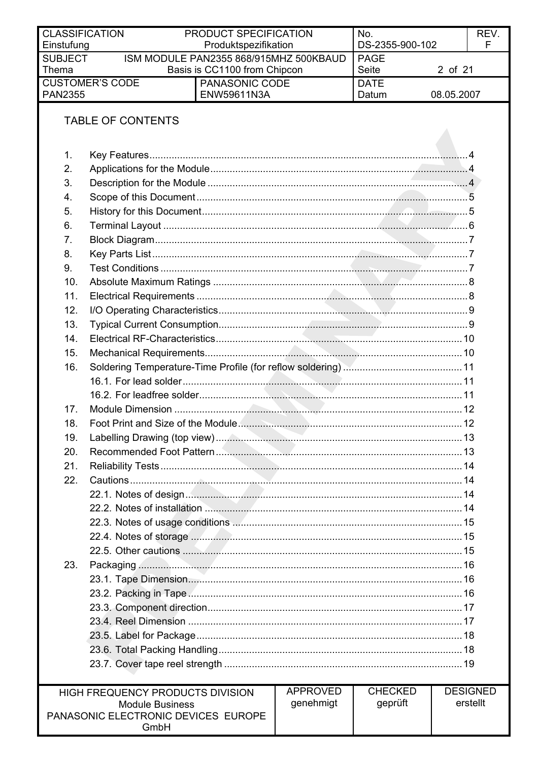| <b>CLASSIFICATION</b> |                                                                 | PRODUCT SPECIFICATION                          |                 | No.                  |            | REV.            |
|-----------------------|-----------------------------------------------------------------|------------------------------------------------|-----------------|----------------------|------------|-----------------|
| Einstufung            |                                                                 | Produktspezifikation                           |                 | DS-2355-900-102      |            | F               |
| <b>SUBJECT</b>        |                                                                 | ISM MODULE PAN2355 868/915MHZ 500KBAUD         |                 | <b>PAGE</b>          |            |                 |
| Thema                 | <b>CUSTOMER'S CODE</b>                                          | Basis is CC1100 from Chipcon<br>PANASONIC CODE |                 | Seite<br><b>DATE</b> | 2 of 21    |                 |
| <b>PAN2355</b>        |                                                                 | ENW59611N3A                                    |                 | Datum                | 08.05.2007 |                 |
|                       |                                                                 |                                                |                 |                      |            |                 |
|                       | <b>TABLE OF CONTENTS</b>                                        |                                                |                 |                      |            |                 |
|                       |                                                                 |                                                |                 |                      |            |                 |
|                       |                                                                 |                                                |                 |                      |            |                 |
| 1.                    |                                                                 |                                                |                 |                      |            |                 |
| 2.                    |                                                                 |                                                |                 |                      |            |                 |
| 3.                    |                                                                 |                                                |                 |                      |            |                 |
| 4.                    |                                                                 |                                                |                 |                      |            |                 |
| 5.                    |                                                                 |                                                |                 |                      |            |                 |
| 6.                    |                                                                 |                                                |                 |                      |            |                 |
| 7.                    |                                                                 |                                                |                 |                      |            |                 |
| 8.                    |                                                                 |                                                |                 |                      |            |                 |
| 9.                    |                                                                 |                                                |                 |                      |            |                 |
| 10.                   |                                                                 |                                                |                 |                      |            |                 |
| 11.                   |                                                                 |                                                |                 |                      |            |                 |
| 12.                   |                                                                 |                                                |                 |                      |            |                 |
| 13.                   |                                                                 |                                                |                 |                      |            |                 |
| 14.                   |                                                                 |                                                |                 |                      |            |                 |
| 15.                   |                                                                 |                                                |                 |                      |            |                 |
| 16.                   |                                                                 |                                                |                 |                      |            |                 |
|                       |                                                                 |                                                |                 |                      |            |                 |
|                       |                                                                 |                                                |                 |                      |            |                 |
| 17.                   |                                                                 |                                                |                 |                      |            |                 |
| 18.                   |                                                                 |                                                |                 |                      |            |                 |
| 19.                   |                                                                 |                                                |                 |                      |            |                 |
| 20.                   |                                                                 |                                                |                 |                      |            |                 |
| 21.                   |                                                                 |                                                |                 |                      |            |                 |
| 22.                   |                                                                 |                                                |                 |                      |            |                 |
|                       |                                                                 |                                                |                 |                      |            |                 |
|                       | 22.2. Notes of installation <b>Manual Allin (22.2)</b> Notes 14 |                                                |                 |                      |            |                 |
|                       |                                                                 |                                                |                 |                      |            |                 |
|                       |                                                                 |                                                |                 |                      |            |                 |
|                       |                                                                 |                                                |                 |                      |            |                 |
| 23.                   |                                                                 |                                                |                 |                      |            |                 |
|                       |                                                                 |                                                |                 |                      |            |                 |
|                       |                                                                 |                                                |                 |                      |            |                 |
|                       |                                                                 |                                                |                 |                      |            |                 |
|                       |                                                                 |                                                |                 |                      |            |                 |
|                       |                                                                 |                                                |                 |                      |            |                 |
|                       |                                                                 |                                                |                 |                      |            |                 |
|                       |                                                                 |                                                |                 |                      |            |                 |
|                       |                                                                 |                                                |                 |                      |            |                 |
|                       | HIGH FREQUENCY PRODUCTS DIVISION                                |                                                | <b>APPROVED</b> | <b>CHECKED</b>       |            | <b>DESIGNED</b> |
|                       | <b>Module Business</b>                                          |                                                | genehmigt       | geprüft              |            | erstellt        |
|                       | PANASONIC ELECTRONIC DEVICES EUROPE                             |                                                |                 |                      |            |                 |
|                       | GmbH                                                            |                                                |                 |                      |            |                 |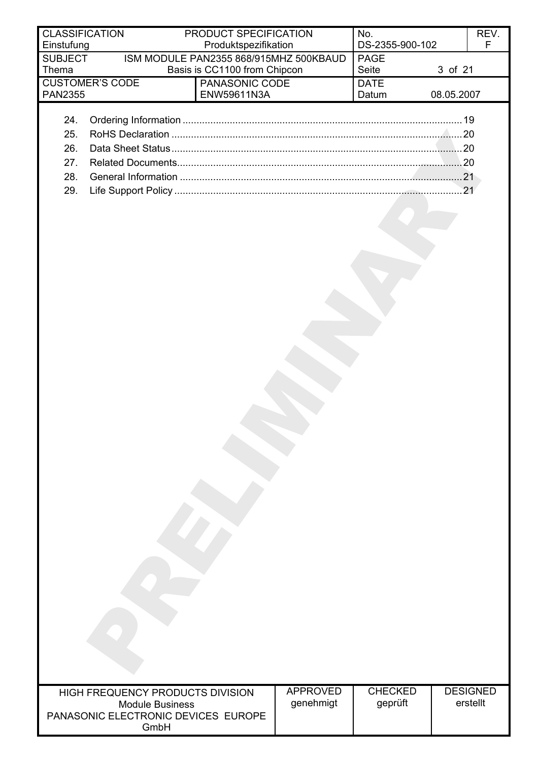| <b>CLASSIFICATION</b>   |                                                            | PRODUCT SPECIFICATION                                                  |                 | No.                            | REV.<br>F       |
|-------------------------|------------------------------------------------------------|------------------------------------------------------------------------|-----------------|--------------------------------|-----------------|
| Einstufung              |                                                            | Produktspezifikation                                                   |                 | DS-2355-900-102<br><b>PAGE</b> |                 |
| <b>SUBJECT</b><br>Thema |                                                            | ISM MODULE PAN2355 868/915MHZ 500KBAUD<br>Basis is CC1100 from Chipcon |                 | Seite                          | 3 of 21         |
|                         | <b>CUSTOMER'S CODE</b>                                     | PANASONIC CODE                                                         |                 | <b>DATE</b>                    |                 |
| <b>PAN2355</b>          |                                                            | ENW59611N3A                                                            |                 | Datum                          | 08.05.2007      |
|                         |                                                            |                                                                        |                 |                                |                 |
| 24.                     |                                                            |                                                                        |                 |                                |                 |
| 25.                     |                                                            |                                                                        |                 |                                |                 |
| 26.                     |                                                            |                                                                        |                 |                                |                 |
| 27.                     |                                                            |                                                                        |                 |                                |                 |
| 28.                     |                                                            |                                                                        |                 |                                |                 |
| 29.                     |                                                            |                                                                        |                 |                                | 21              |
|                         |                                                            |                                                                        |                 |                                |                 |
|                         |                                                            |                                                                        |                 |                                |                 |
|                         |                                                            |                                                                        |                 |                                |                 |
|                         |                                                            |                                                                        |                 |                                |                 |
|                         |                                                            |                                                                        |                 |                                |                 |
|                         |                                                            |                                                                        |                 |                                |                 |
|                         |                                                            |                                                                        |                 |                                |                 |
|                         |                                                            |                                                                        |                 |                                |                 |
|                         |                                                            |                                                                        |                 |                                |                 |
|                         |                                                            |                                                                        |                 |                                |                 |
|                         |                                                            |                                                                        |                 |                                |                 |
|                         |                                                            |                                                                        |                 |                                |                 |
|                         |                                                            |                                                                        |                 |                                |                 |
|                         |                                                            |                                                                        |                 |                                |                 |
|                         |                                                            |                                                                        |                 |                                |                 |
|                         |                                                            |                                                                        |                 |                                |                 |
|                         |                                                            |                                                                        |                 |                                |                 |
|                         |                                                            |                                                                        |                 |                                |                 |
|                         |                                                            |                                                                        |                 |                                |                 |
|                         |                                                            |                                                                        |                 |                                |                 |
|                         |                                                            |                                                                        |                 |                                |                 |
|                         |                                                            |                                                                        |                 |                                |                 |
|                         |                                                            |                                                                        |                 |                                |                 |
|                         |                                                            |                                                                        |                 |                                |                 |
|                         |                                                            |                                                                        |                 |                                |                 |
|                         |                                                            |                                                                        |                 |                                |                 |
|                         |                                                            |                                                                        |                 |                                |                 |
|                         |                                                            |                                                                        |                 |                                |                 |
|                         |                                                            |                                                                        |                 |                                |                 |
|                         |                                                            |                                                                        |                 |                                |                 |
|                         |                                                            |                                                                        |                 |                                |                 |
|                         |                                                            |                                                                        |                 |                                |                 |
|                         |                                                            |                                                                        |                 |                                |                 |
|                         |                                                            |                                                                        |                 |                                |                 |
|                         |                                                            |                                                                        |                 |                                |                 |
|                         |                                                            |                                                                        |                 |                                |                 |
|                         |                                                            |                                                                        |                 |                                |                 |
|                         |                                                            |                                                                        |                 |                                |                 |
|                         |                                                            |                                                                        |                 |                                |                 |
|                         |                                                            |                                                                        | <b>APPROVED</b> | <b>CHECKED</b>                 | <b>DESIGNED</b> |
|                         | HIGH FREQUENCY PRODUCTS DIVISION<br><b>Module Business</b> |                                                                        | genehmigt       | geprüft                        | erstellt        |
|                         | PANASONIC ELECTRONIC DEVICES EUROPE                        |                                                                        |                 |                                |                 |

GmbH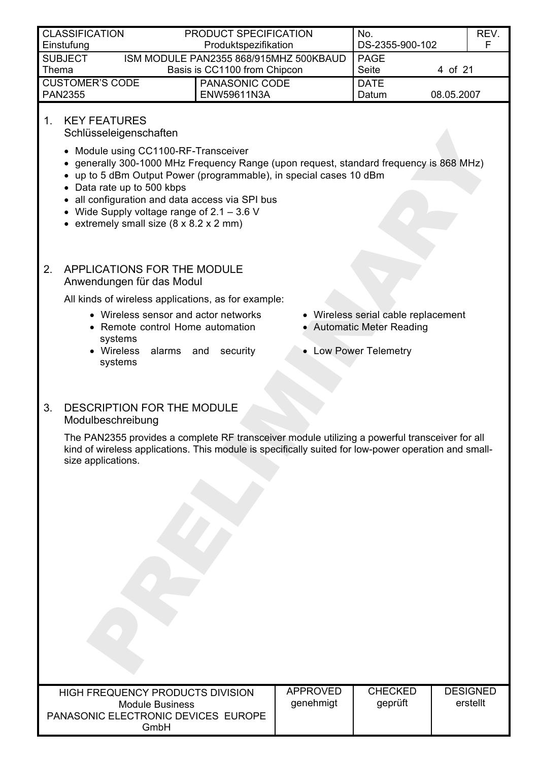<span id="page-3-0"></span>

| <b>CLASSIFICATION</b><br>Einstufung                                                               | PRODUCT SPECIFICATION | No.<br>DS-2355-900-102               | REV.<br>E            |            |
|---------------------------------------------------------------------------------------------------|-----------------------|--------------------------------------|----------------------|------------|
| ISM MODULE PAN2355 868/915MHZ 500KBAUD<br><b>SUBJECT</b><br>Basis is CC1100 from Chipcon<br>Thema |                       | PAGE<br>Seite<br>4 of 21             |                      |            |
| <b>CUSTOMER'S CODE</b><br><b>PAN2355</b>                                                          |                       | PANASONIC CODE<br><b>ENW59611N3A</b> | <b>DATE</b><br>Datum | 08.05.2007 |

## 1. KEY FEATURES

Schlüsseleigenschaften

- Module using CC1100-RF-Transceiver
- generally 300-1000 MHz Frequency Range (upon request, standard frequency is 868 MHz)
- up to 5 dBm Output Power (programmable), in special cases 10 dBm
- Data rate up to 500 kbps
- all configuration and data access via SPI bus
- Wide Supply voltage range of 2.1 3.6 V
- extremely small size (8 x 8.2 x 2 mm)

#### 2. APPLICATIONS FOR THE MODULE Anwendungen für das Modul

All kinds of wireless applications, as for example:

- Wireless sensor and actor networks Wireless serial cable replacement
- Remote control Home automation systems
- Wireless alarms and security systems
- 
- Automatic Meter Reading
- Low Power Telemetry

## 3. DESCRIPTION FOR THE MODULE Modulbeschreibung

The PAN2355 provides a complete RF transceiver module utilizing a powerful transceiver for all kind of wireless applications. This module is specifically suited for low-power operation and smallsize applications.

| HIGH FREQUENCY PRODUCTS DIVISION<br>Module Business<br>PANASONIC ELECTRONIC DEVICES EUROPE<br>GmbH | APPROVED<br>genehmigt | <b>CHECKED</b><br>geprüft | <b>DESIGNED</b><br>erstellt |
|----------------------------------------------------------------------------------------------------|-----------------------|---------------------------|-----------------------------|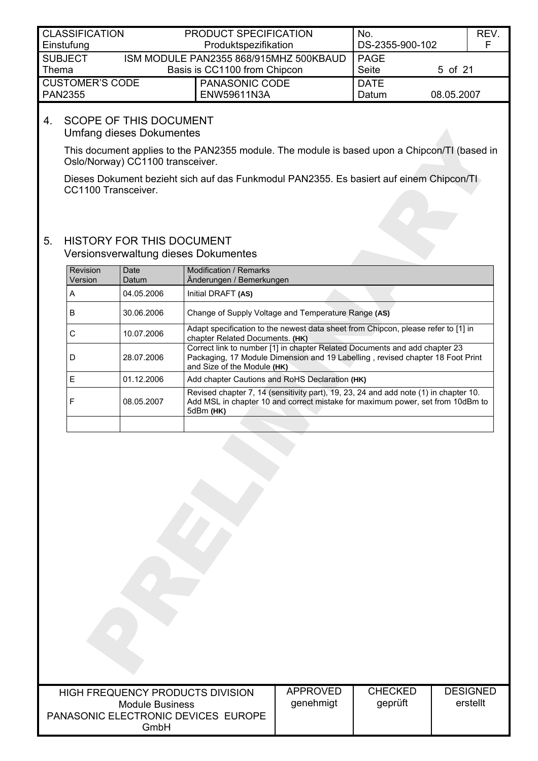<span id="page-4-0"></span>

| PRODUCT SPECIFICATION<br><b>CLASSIFICATION</b><br>Produktspezifikation<br>Einstufung              |  | No.<br>DS-2355-900-102               |                      | REV.<br>E  |  |
|---------------------------------------------------------------------------------------------------|--|--------------------------------------|----------------------|------------|--|
| ISM MODULE PAN2355 868/915MHZ 500KBAUD<br><b>SUBJECT</b><br>Basis is CC1100 from Chipcon<br>Thema |  | l PAGE<br>Seite                      | 5 of 21              |            |  |
| <b>CUSTOMER'S CODE</b><br><b>PAN2355</b>                                                          |  | <b>PANASONIC CODE</b><br>ENW59611N3A | <b>DATE</b><br>Datum | 08.05.2007 |  |

### 4. SCOPE OF THIS DOCUMENT Umfang dieses Dokumentes

This document applies to the PAN2355 module. The module is based upon a Chipcon/TI (based in Oslo/Norway) CC1100 transceiver.

Dieses Dokument bezieht sich auf das Funkmodul PAN2355. Es basiert auf einem Chipcon/TI CC1100 Transceiver.

#### 5. HISTORY FOR THIS DOCUMENT Versionsverwaltung dieses Dokumentes

| <b>Revision</b><br>Version | Date<br>Datum | Modification / Remarks<br>Änderungen / Bemerkungen                                                                                                                                          |
|----------------------------|---------------|---------------------------------------------------------------------------------------------------------------------------------------------------------------------------------------------|
| A                          | 04.05.2006    | Initial DRAFT (AS)                                                                                                                                                                          |
| в                          | 30.06.2006    | Change of Supply Voltage and Temperature Range (AS)                                                                                                                                         |
| С                          | 10.07.2006    | Adapt specification to the newest data sheet from Chipcon, please refer to [1] in<br>chapter Related Documents. (HK)                                                                        |
| D                          | 28.07.2006    | Correct link to number [1] in chapter Related Documents and add chapter 23<br>Packaging, 17 Module Dimension and 19 Labelling, revised chapter 18 Foot Print<br>and Size of the Module (HK) |
| F                          | 01.12.2006    | Add chapter Cautions and RoHS Declaration (HK)                                                                                                                                              |
|                            | 08.05.2007    | Revised chapter 7, 14 (sensitivity part), 19, 23, 24 and add note (1) in chapter 10.<br>Add MSL in chapter 10 and correct mistake for maximum power, set from 10dBm to<br>5dBm (HK)         |
|                            |               |                                                                                                                                                                                             |

| <b>HIGH FREQUENCY PRODUCTS DIVISION</b><br>Module Business<br>PANASONIC ELECTRONIC DEVICES EUROPE<br>GmbH | APPROVED<br>genehmigt | <b>CHECKED</b><br>geprüft | <b>DESIGNED</b><br>erstellt |
|-----------------------------------------------------------------------------------------------------------|-----------------------|---------------------------|-----------------------------|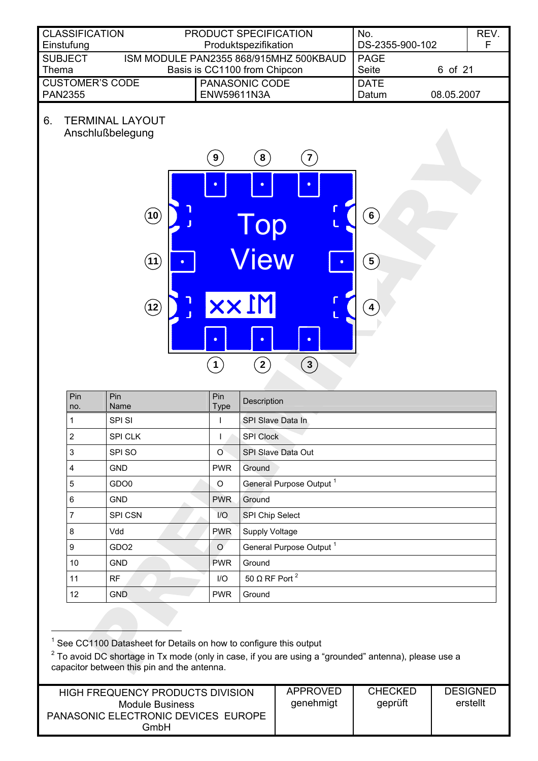<span id="page-5-0"></span>

| <b>CLASSIFICATION</b>                            | PRODUCT SPECIFICATION                                                           | No.                              | REV. |
|--------------------------------------------------|---------------------------------------------------------------------------------|----------------------------------|------|
| Einstufung                                       | Produktspezifikation                                                            | DS-2355-900-102                  | F    |
| <b>SUBJECT</b>                                   | ISM MODULE PAN2355 868/915MHZ 500KBAUD                                          | <b>PAGE</b>                      |      |
| Thema                                            | Basis is CC1100 from Chipcon                                                    | <b>Seite</b><br>6 of 21          |      |
| <b>CUSTOMER'S CODE</b>                           | PANASONIC CODE                                                                  | <b>DATE</b>                      |      |
| <b>PAN2355</b>                                   | ENW59611N3A                                                                     | 08.05.2007<br>Datum              |      |
| <b>TERMINAL LAYOUT</b><br>6.<br>Anschlußbelegung | 9 <sup>2</sup><br>$\vert 8 \rangle$<br>$\overline{7}$<br>$\bullet$<br>$\bullet$ |                                  |      |
| (10)<br>(11)                                     | Top<br><b>View</b><br>o                                                         | $6 \right)$<br>$\left( 5\right)$ |      |
| $\mathbf{12}$                                    | M1xx                                                                            | 4                                |      |

| Pin<br>no.     | Pin<br>Name      | Pin<br>Type      | Description                         |
|----------------|------------------|------------------|-------------------------------------|
| 1              | <b>SPISI</b>     |                  | SPI Slave Data In                   |
| $\overline{2}$ | SPI CLK          |                  | <b>SPI Clock</b>                    |
| 3              | SPI SO           | $\circ$          | SPI Slave Data Out                  |
| 4              | <b>GND</b>       | <b>PWR</b>       | Ground                              |
| 5              | GDO <sub>0</sub> | O                | General Purpose Output <sup>1</sup> |
| 6              | <b>GND</b>       | <b>PWR</b>       | Ground                              |
| 7              | SPI CSN          | $\overline{1/O}$ | SPI Chip Select                     |
| 8              | Vdd              | <b>PWR</b>       | Supply Voltage                      |
| 9              | GDO <sub>2</sub> | $\circ$          | General Purpose Output <sup>1</sup> |
| 10             | <b>GND</b>       | <b>PWR</b>       | Ground                              |
| 11             | <b>RF</b>        | 1/O              | 50 $\Omega$ RF Port <sup>2</sup>    |
| 12             | <b>GND</b>       | <b>PWR</b>       | Ground                              |

**1 2 3**

 $\bullet$ 

 $\bullet$ 

<span id="page-5-1"></span> $\bullet$ 

 $\mathbb{D}$ 

 $\overline{1}$ <sup>1</sup> See CC1100 Datasheet for Details on how to configure this output

<span id="page-5-3"></span><span id="page-5-2"></span> $2$  To avoid DC shortage in Tx mode (only in case, if you are using a "grounded" antenna), please use a capacitor between this pin and the antenna.

| <b>HIGH FREQUENCY PRODUCTS DIVISION</b>     | APPROVED  | <b>CHECKED</b> | <b>DESIGNED</b> |
|---------------------------------------------|-----------|----------------|-----------------|
| Module Business                             | genehmigt | geprüft        | erstellt        |
| PANASONIC ELECTRONIC DEVICES EUROPE<br>GmbH |           |                |                 |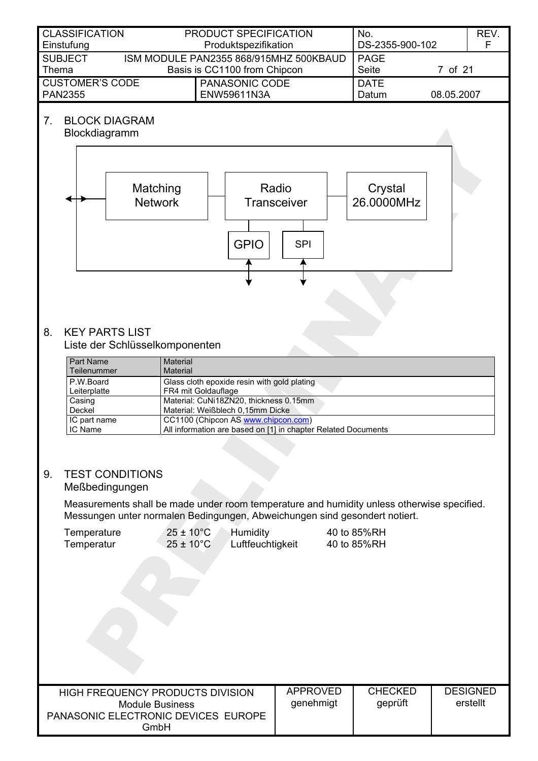<span id="page-6-1"></span><span id="page-6-0"></span>

| <b>CLASSIFICATION</b>                                                                  | PRODUCT SPECIFICATION                                                                                     | No.                   | REV. |
|----------------------------------------------------------------------------------------|-----------------------------------------------------------------------------------------------------------|-----------------------|------|
| Einstufung                                                                             | Produktspezifikation                                                                                      | DS-2355-900-102       | F    |
| <b>SUBJECT</b><br>Thema                                                                | ISM MODULE PAN2355 868/915MHZ 500KBAUD<br><b>PAGE</b><br>Basis is CC1100 from Chipcon<br>Seite<br>7 of 21 |                       |      |
| <b>CUSTOMER'S CODE</b><br><b>PAN2355</b>                                               | PANASONIC CODE<br><b>DATE</b><br>08.05.2007<br>ENW59611N3A<br>Datum                                       |                       |      |
| <b>BLOCK DIAGRAM</b><br>7 <sub>1</sub><br>Blockdiagramm<br>Matching<br><b>Network</b>  | Radio<br><b>Transceiver</b><br><b>GPIO</b><br><b>SPI</b>                                                  | Crystal<br>26.0000MHz |      |
|                                                                                        |                                                                                                           |                       |      |
| 8.<br><b>KEY PARTS LIST</b><br>Liste der Schlüsselkomponenten<br>Part Name<br>Material |                                                                                                           |                       |      |

| Part Name    | Material                                                      |
|--------------|---------------------------------------------------------------|
| Teilenummer  | Material                                                      |
| P.W.Board    | Glass cloth epoxide resin with gold plating                   |
| Leiterplatte | FR4 mit Goldauflage                                           |
| Casing       | Material: CuNi18ZN20, thickness 0.15mm                        |
| Deckel       | Material: Weißblech 0,15mm Dicke                              |
| IC part name | CC1100 (Chipcon AS www.chipcon.com)                           |
| IC Name      | All information are based on [1] in chapter Related Documents |

## 9. TEST CONDITIONS Meßbedingungen

Measurements shall be made under room temperature and humidity unless otherwise specified. Messungen unter normalen Bedingungen, Abweichungen sind gesondert notiert.

| $25 \pm 10^{\circ}$ C<br>Humidity<br>Temperature<br>Luftfeuchtigkeit<br>Temperatur<br>$25 \pm 10^{\circ}$ C |                                                                                                           |                              | 40 to 85%RH<br>40 to 85%RH |                             |
|-------------------------------------------------------------------------------------------------------------|-----------------------------------------------------------------------------------------------------------|------------------------------|----------------------------|-----------------------------|
|                                                                                                             |                                                                                                           |                              |                            |                             |
|                                                                                                             |                                                                                                           |                              |                            |                             |
|                                                                                                             | HIGH FREQUENCY PRODUCTS DIVISION<br><b>Module Business</b><br>PANASONIC ELECTRONIC DEVICES EUROPE<br>GmbH | <b>APPROVED</b><br>genehmigt | <b>CHECKED</b><br>geprüft  | <b>DESIGNED</b><br>erstellt |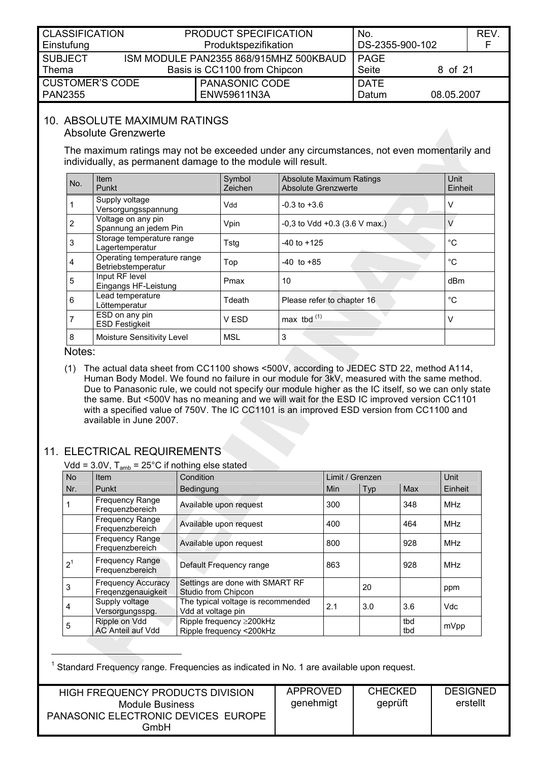<span id="page-7-0"></span>

| <b>CLASSIFICATION</b>                 |  | PRODUCT SPECIFICATION                  | No.             |            | REV. |
|---------------------------------------|--|----------------------------------------|-----------------|------------|------|
| Einstufung                            |  | Produktspezifikation                   | DS-2355-900-102 |            |      |
| <b>SUBJECT</b>                        |  | ISM MODULE PAN2355 868/915MHZ 500KBAUD | <b>PAGE</b>     |            |      |
| Basis is CC1100 from Chipcon<br>Thema |  | <b>Seite</b>                           | 8 of 21         |            |      |
| <b>CUSTOMER'S CODE</b>                |  | PANASONIC CODE                         | <b>DATE</b>     |            |      |
| <b>PAN2355</b>                        |  | ENW59611N3A                            | Datum           | 08.05.2007 |      |

#### 10. ABSOLUTE MAXIMUM RATINGS

<span id="page-7-2"></span>Absolute Grenzwerte

The maximum ratings may not be exceeded under any circumstances, not even momentarily and individually, as permanent damage to the module will result.

| No. | <b>Item</b><br>Punkt                              | Symbol<br>Zeichen | <b>Absolute Maximum Ratings</b><br><b>Absolute Grenzwerte</b> | <b>Unit</b><br>Einheit |
|-----|---------------------------------------------------|-------------------|---------------------------------------------------------------|------------------------|
|     | Supply voltage<br>Versorgungsspannung             | Vdd               | $-0.3$ to $+3.6$                                              | V                      |
| 2   | Voltage on any pin<br>Spannung an jedem Pin       | Vpin              | $-0.3$ to Vdd $+0.3$ (3.6 V max.)                             |                        |
| 3   | Storage temperature range<br>Lagertemperatur      | Tstg              | $-40$ to $+125$                                               | $^{\circ}$ C           |
| 4   | Operating temperature range<br>Betriebstemperatur | Top               | $-40$ to $+85$                                                | °C                     |
| 5   | Input RF level<br>Eingangs HF-Leistung            | Pmax              | 10                                                            | dB <sub>m</sub>        |
| 6   | Lead temperature<br>Löttemperatur                 | Tdeath            | Please refer to chapter 16                                    | °C                     |
|     | ESD on any pin<br><b>ESD Festigkeit</b>           | V ESD             | max tbd $(1)$                                                 | V                      |
| 8   | Moisture Sensitivity Level                        | <b>MSL</b>        | 3                                                             |                        |

Notes:

<span id="page-7-1"></span>(1) The actual data sheet from CC1100 shows <500V, according to JEDEC STD 22, method A114, Human Body Model. We found no failure in our module for 3kV, measured with the same method. Due to Panasonic rule, we could not specify our module higher as the IC itself, so we can only state the same. But <500V has no meaning and we will wait for the ESD IC improved version CC1101 with a specified value of 750V. The IC CC1101 is an improved ESD version from CC1100 and available in June 2007.

## 11. ELECTRICAL REQUIREMENTS

Vdd =  $3.0V$ ,  $T_{amb}$  =  $25^{\circ}$ C if nothing else stated

| <b>No</b>      | <b>Item</b>                                     | Condition                                                  |            | Limit / Grenzen |            | Unit       |
|----------------|-------------------------------------------------|------------------------------------------------------------|------------|-----------------|------------|------------|
| Nr.            | Punkt                                           | Bedingung                                                  | <b>Min</b> | Typ             | Max        | Einheit    |
| $\overline{1}$ | <b>Frequency Range</b><br>Frequenzbereich       | Available upon request                                     | 300        |                 | 348        | <b>MHz</b> |
|                | <b>Frequency Range</b><br>Frequenzbereich       | Available upon request                                     | 400        |                 | 464        | <b>MHz</b> |
|                | Frequency Range<br>Frequenzbereich              | Available upon request                                     | 800        |                 | 928        | <b>MHz</b> |
| 2 <sup>1</sup> | <b>Frequency Range</b><br>Frequenzbereich       | Default Frequency range                                    | 863        |                 | 928        | MHz        |
| 3              | <b>Frequency Accuracy</b><br>Fregenzgenauigkeit | Settings are done with SMART RF<br>Studio from Chipcon     |            | 20              |            | ppm        |
| 4              | Supply voltage<br>Versorgungsspg.               | The typical voltage is recommended<br>Vdd at voltage pin   | 2.1        | 3.0             | 3.6        | <b>Vdc</b> |
| 5              | Ripple on Vdd<br><b>AC Anteil auf Vdd</b>       | Ripple frequency $\geq$ 200kHz<br>Ripple frequency <200kHz |            |                 | tbd<br>tbd | mVpp       |

<span id="page-7-3"></span> $\overline{1}$  $1$  Standard Frequency range. Frequencies as indicated in No. 1 are available upon request.

| HIGH FREQUENCY PRODUCTS DIVISION<br>Module Business<br>PANASONIC ELECTRONIC DEVICES EUROPE<br>GmbH | APPROVED<br>genehmigt | <b>CHECKED</b><br>geprüft | <b>DESIGNED</b><br>erstellt |
|----------------------------------------------------------------------------------------------------|-----------------------|---------------------------|-----------------------------|
|----------------------------------------------------------------------------------------------------|-----------------------|---------------------------|-----------------------------|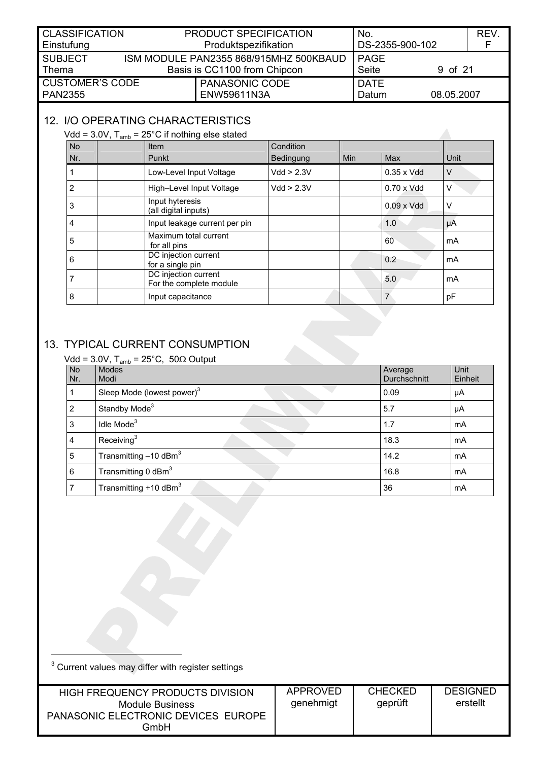<span id="page-8-0"></span>

| <b>CLASSIFICATION</b> |  | PRODUCT SPECIFICATION                  | No.             |            | <b>REV</b> |
|-----------------------|--|----------------------------------------|-----------------|------------|------------|
| Einstufung            |  | Produktspezifikation                   | DS-2355-900-102 |            |            |
| <b>SUBJECT</b>        |  | ISM MODULE PAN2355 868/915MHZ 500KBAUD | l PAGE          |            |            |
| Thema                 |  | Basis is CC1100 from Chipcon           | Seite           | 9 of 21    |            |
| CUSTOMER'S CODE       |  | <b>PANASONIC CODE</b>                  | <b>DATE</b>     |            |            |
| <b>PAN2355</b>        |  | ENW59611N3A                            | Datum           | 08.05.2007 |            |

# 12. I/O OPERATING CHARACTERISTICS

# Vdd =  $3.0V$ ,  $T_{amb}$  =  $25^{\circ}$ C if nothing else stated

| <b>No</b> | Item                                            | Condition  |            |                    |      |
|-----------|-------------------------------------------------|------------|------------|--------------------|------|
| Nr.       | Punkt                                           | Bedingung  | <b>Min</b> | <b>Max</b>         | Unit |
|           | Low-Level Input Voltage                         | Vdd > 2.3V |            | $0.35 \times V$ dd | V    |
| 2         | High-Level Input Voltage                        | Vdd > 2.3V |            | $0.70 \times V$ dd | V    |
| 3         | Input hyteresis<br>(all digital inputs)         |            |            | $0.09 \times V$ dd | ν    |
| 4         | Input leakage current per pin                   |            |            | 1.0                | μA   |
| 5         | Maximum total current<br>for all pins           |            |            | 60                 | mA   |
| 6         | DC injection current<br>for a single pin        |            |            | 0.2                | mA   |
| 7         | DC injection current<br>For the complete module |            |            | 5.0                | mA   |
| 8         | Input capacitance                               |            |            | $\overline{7}$     | pF   |

# 13. TYPICAL CURRENT CONSUMPTION

<span id="page-8-1"></span>

|                  | Vdd = 3.0V, T <sub>amb</sub> = 25°C, 50 $\Omega$ Output |                         |                 |
|------------------|---------------------------------------------------------|-------------------------|-----------------|
| <b>No</b><br>Nr. | <b>Modes</b><br>Modi                                    | Average<br>Durchschnitt | Unit<br>Einheit |
|                  | Sleep Mode (lowest power) <sup>3</sup>                  | 0.09                    | μA              |
| 2                | Standby Mode <sup>3</sup>                               | 5.7                     | μA              |
| 3                | Idle Mode <sup>3</sup>                                  | 1.7                     | mA              |
| 4                | Receiving $3$                                           | 18.3                    | mA              |
| 5                | Transmitting $-10$ dBm <sup>3</sup>                     | 14.2                    | mA              |
| 6                | Transmitting 0 dBm <sup>3</sup>                         | 16.8                    | mA              |
|                  | Transmitting $+10$ dBm <sup>3</sup>                     | 36                      | mA              |

<span id="page-8-2"></span>

| <sup>3</sup> Current values may differ with register settings                                             |                              |                           |                             |
|-----------------------------------------------------------------------------------------------------------|------------------------------|---------------------------|-----------------------------|
| HIGH FREQUENCY PRODUCTS DIVISION<br><b>Module Business</b><br>PANASONIC ELECTRONIC DEVICES EUROPE<br>GmbH | <b>APPROVED</b><br>genehmigt | <b>CHECKED</b><br>geprüft | <b>DESIGNED</b><br>erstellt |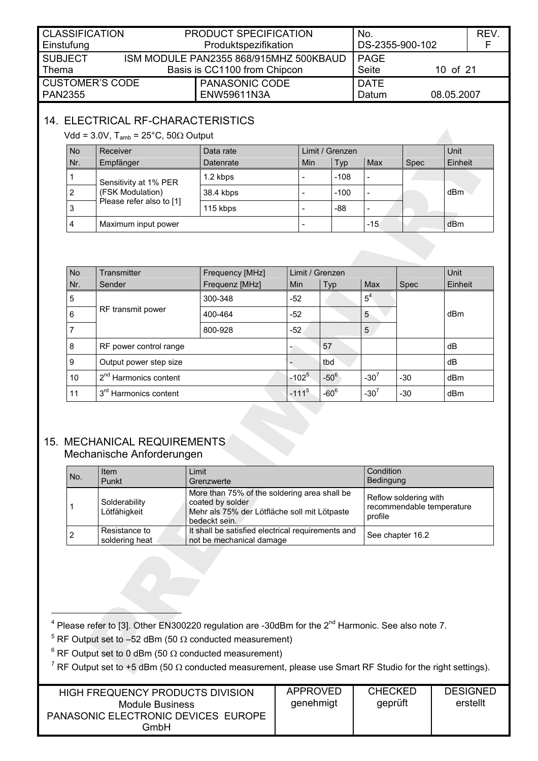<span id="page-9-0"></span>

| <b>CLASSIFICATION</b><br>Einstufung                                                               |  | PRODUCT SPECIFICATION<br>Produktspezifikation | No.<br>DS-2355-900-102 |            | REV. |
|---------------------------------------------------------------------------------------------------|--|-----------------------------------------------|------------------------|------------|------|
| ISM MODULE PAN2355 868/915MHZ 500KBAUD<br><b>SUBJECT</b><br>Basis is CC1100 from Chipcon<br>Thema |  | <b>PAGE</b><br>Seite                          | 10 of 21               |            |      |
| <b>CUSTOMER'S CODE</b><br><b>PAN2355</b>                                                          |  | PANASONIC CODE<br>ENW59611N3A                 | <b>DATE</b><br>Datum   | 08.05.2007 |      |

# 14. ELECTRICAL RF-CHARACTERISTICS

<span id="page-9-1"></span>Vdd = 3.0V,  $T_{amb}$  = 25°C, 50 $\Omega$  Output

| <b>No</b> | Receiver                                                              | Data rate | Limit / Grenzen |            |       |             | Unit    |
|-----------|-----------------------------------------------------------------------|-----------|-----------------|------------|-------|-------------|---------|
| Nr.       | Empfänger                                                             | Datenrate | Min             | <b>Typ</b> | Max   | <b>Spec</b> | Einheit |
|           | Sensitivity at 1% PER<br>(FSK Modulation)<br>Please refer also to [1] | 1.2 kbps  |                 | $-108$     |       |             |         |
| 2         |                                                                       | 38.4 kbps |                 | $-100$     |       |             | dBm     |
| 3         |                                                                       | 115 kbps  |                 | -88        |       |             |         |
| 4         | Maximum input power                                                   |           |                 |            | $-15$ |             | dBm     |

| <b>No</b> | Transmitter                       | Frequency [MHz] | Limit / Grenzen |           |                |             | Unit    |
|-----------|-----------------------------------|-----------------|-----------------|-----------|----------------|-------------|---------|
| Nr.       | Sender                            | Frequenz [MHz]  | <b>Min</b>      | Typ       | Max            | <b>Spec</b> | Einheit |
| 5         |                                   | 300-348         | $-52$           |           | 5 <sup>4</sup> |             |         |
| 6         | RF transmit power                 | 400-464         | $-52$           |           | 5              |             | dBm     |
|           |                                   | 800-928         | $-52$           |           | 5              |             |         |
| 8         | RF power control range            |                 | -               | 57        |                |             | dB      |
| 9         | Output power step size            |                 |                 | tbd       |                |             | dB      |
| 10        | 2 <sup>nd</sup> Harmonics content |                 | $-102^{5}$      | $-50^6$   | $-30^{7}$      | $-30$       | dBm     |
| 11        | 3 <sup>rd</sup> Harmonics content |                 | $-111^{5}$      | $-60^{6}$ | $-30^{7}$      | $-30$       | dBm     |

### 15. MECHANICAL REQUIREMENTS Mechanische Anforderungen

<span id="page-9-4"></span><span id="page-9-3"></span><span id="page-9-2"></span>

| No. | Item<br>Punkt                   | Limit<br>Grenzwerte                                                                                                               | Condition<br>Bedingung                                        |
|-----|---------------------------------|-----------------------------------------------------------------------------------------------------------------------------------|---------------------------------------------------------------|
|     | Solderability<br>Lötfähigkeit   | More than 75% of the soldering area shall be<br>coated by solder<br>Mehr als 75% der Lötfläche soll mit Lötpaste<br>bedeckt sein. | Reflow soldering with<br>recommendable temperature<br>profile |
|     | Resistance to<br>soldering heat | It shall be satisfied electrical requirements and<br>not be mechanical damage                                                     | See chapter 16.2                                              |

 $\frac{1}{4}$  $4$  Please refer to [3]. Other EN300220 regulation are -30dBm for the  $2^{nd}$  Harmonic. See also note 7.

<span id="page-9-6"></span><span id="page-9-5"></span><sup>5</sup> RF Output set to  $-52$  dBm (50  $\Omega$  conducted measurement)

<span id="page-9-7"></span> $^6$  RF Output set to 0 dBm (50  $\Omega$  conducted measurement)

<span id="page-9-8"></span><sup>7</sup> RF Output set to +5 dBm (50  $\Omega$  conducted measurement, please use Smart RF Studio for the right settings).

| HIGH FREQUENCY PRODUCTS DIVISION            | APPROVED  | <b>CHECKED</b> | <b>DESIGNED</b> |
|---------------------------------------------|-----------|----------------|-----------------|
| Module Business                             | genehmigt | geprüft        | erstellt        |
| PANASONIC ELECTRONIC DEVICES EUROPE<br>GmbH |           |                |                 |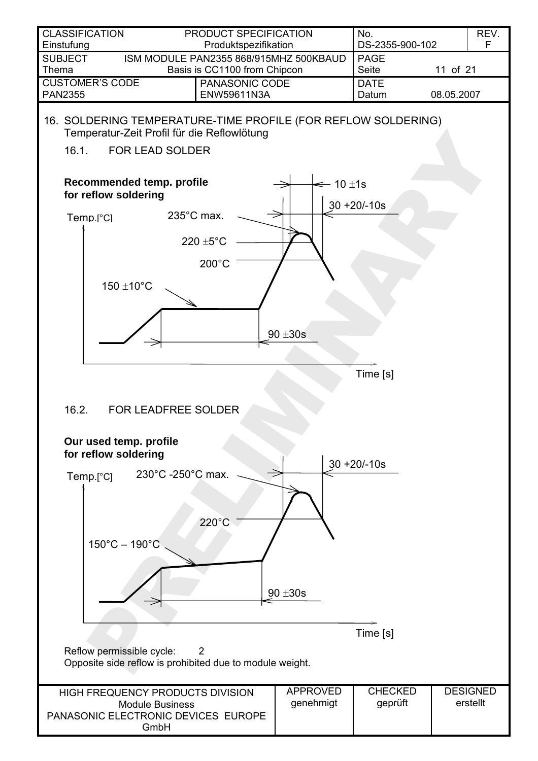<span id="page-10-2"></span><span id="page-10-1"></span><span id="page-10-0"></span>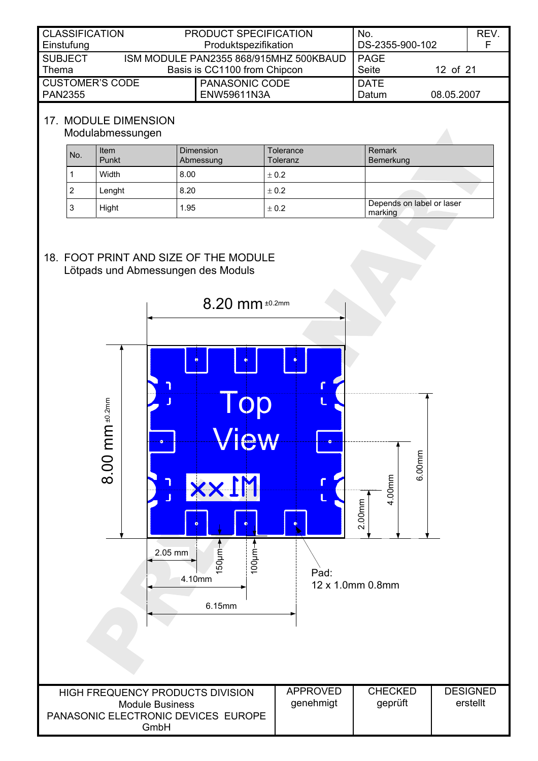<span id="page-11-0"></span>

| <b>CLASSIFICATION</b><br>Einstufung      | PRODUCT SPECIFICATION<br>Produktspezifikation                          | No.<br>DS-2355-900-102 |            | REV. |
|------------------------------------------|------------------------------------------------------------------------|------------------------|------------|------|
| <b>SUBJECT</b><br>Thema                  | ISM MODULE PAN2355 868/915MHZ 500KBAUD<br>Basis is CC1100 from Chipcon | PAGE<br>Seite          | 12 of 21   |      |
| <b>CUSTOMER'S CODE</b><br><b>PAN2355</b> | PANASONIC CODE<br>ENW59611N3A                                          | <b>DATE</b><br>Datum   | 08.05.2007 |      |

## 17. MODULE DIMENSION

#### <span id="page-11-1"></span>Modulabmessungen

| No. | Item<br>Punkt | <b>Dimension</b><br>Abmessung | Tolerance<br>Toleranz | Remark<br>Bemerkung                  |
|-----|---------------|-------------------------------|-----------------------|--------------------------------------|
|     | Width         | 8.00                          | ± 0.2                 |                                      |
| 2   | Lenght        | 8.20                          | ± 0.2                 |                                      |
| 3   | Hight         | 1.95                          | ± 0.2                 | Depends on label or laser<br>marking |

#### <span id="page-11-2"></span>18. FOOT PRINT AND SIZE OF THE MODULE Lötpads und Abmessungen des Moduls

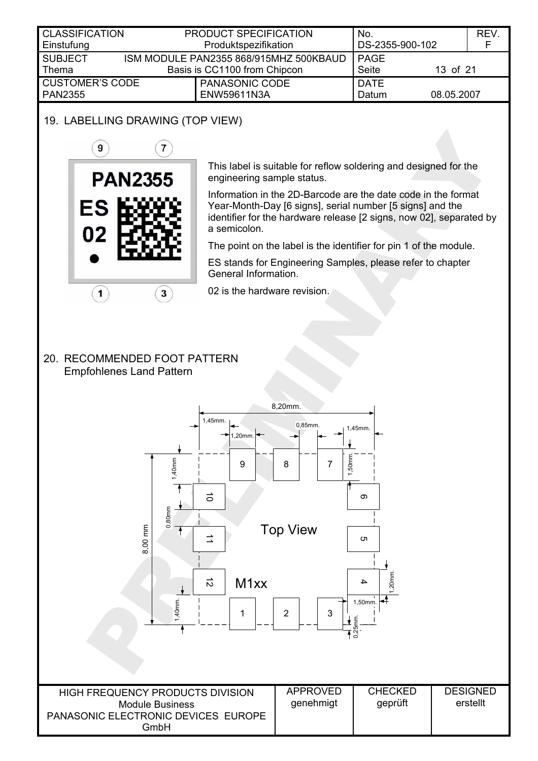<span id="page-12-0"></span>

| <b>CLASSIFICATION</b>  | PRODUCT SPECIFICATION                  | No.             |            | REV. |
|------------------------|----------------------------------------|-----------------|------------|------|
| Einstufung             | Produktspezifikation                   | DS-2355-900-102 |            |      |
| <b>SUBJECT</b>         | ISM MODULE PAN2355 868/915MHZ 500KBAUD | PAGE            |            |      |
| $\blacksquare$ Thema   | Basis is CC1100 from Chipcon           | Seite           | 13 of 21   |      |
| <b>CUSTOMER'S CODE</b> | <b>PANASONIC CODE</b>                  | <b>DATE</b>     |            |      |
| <b>PAN2355</b>         | <b>ENW59611N3A</b>                     | Datum           | 08.05.2007 |      |
|                        |                                        |                 |            |      |

## 19. LABELLING DRAWING (TOP VIEW)

<span id="page-12-1"></span>

This label is suitable for reflow soldering and designed for the engineering sample status.

Information in the 2D-Barcode are the date code in the format Year-Month-Day [6 signs], serial number [5 signs] and the identifier for the hardware release [2 signs, now 02], separated by a semicolon.

The point on the label is the identifier for pin 1 of the module.

ES stands for Engineering Samples, please refer to chapter Gene[ral Information.](#page-20-1) 

02 is the hardware revision.

#### 20. RECOMMENDED FOOT PATTERN Empfohlenes Land Pattern

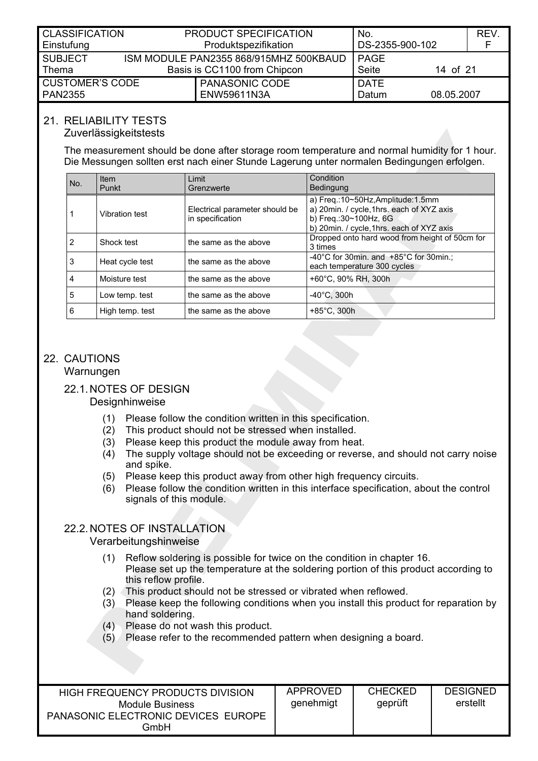<span id="page-13-0"></span>

|                                                 | No.                                                                                             | REV.                                      |
|-------------------------------------------------|-------------------------------------------------------------------------------------------------|-------------------------------------------|
| Produktspezifikation                            |                                                                                                 |                                           |
|                                                 | <b>PAGE</b>                                                                                     |                                           |
|                                                 | Seite                                                                                           |                                           |
| PANASONIC CODE                                  | <b>DATE</b>                                                                                     |                                           |
| ENW59611N3A                                     | Datum                                                                                           |                                           |
| <b>CLASSIFICATION</b><br><b>CUSTOMER'S CODE</b> | PRODUCT SPECIFICATION<br>ISM MODULE PAN2355 868/915MHZ 500KBAUD<br>Basis is CC1100 from Chipcon | DS-2355-900-102<br>14 of 21<br>08.05.2007 |

## 21. RELIABILITY TESTS

#### Zuverlässigkeitstests

The measurement should be done after storage room temperature and normal humidity for 1 hour. Die Messungen sollten erst nach einer Stunde Lagerung unter normalen Bedingungen erfolgen.

| No. | <b>Item</b><br>Punkt | Limit<br>Grenzwerte                                | Condition<br>Bedingung                                                                                                                                |
|-----|----------------------|----------------------------------------------------|-------------------------------------------------------------------------------------------------------------------------------------------------------|
|     | Vibration test       | Electrical parameter should be<br>in specification | a) Freq.:10~50Hz, Amplitude:1.5mm<br>a) 20min. / cycle, 1hrs. each of XYZ axis<br>b) Freq.: 30~100Hz, 6G<br>b) 20min. / cycle, 1hrs. each of XYZ axis |
| 2   | Shock test           | the same as the above                              | Dropped onto hard wood from height of 50cm for<br>3 times                                                                                             |
| 3   | Heat cycle test      | the same as the above                              | $-40^{\circ}$ C for 30min. and $+85^{\circ}$ C for 30min.;<br>each temperature 300 cycles                                                             |
| 4   | Moisture test        | the same as the above                              | +60°C, 90% RH, 300h                                                                                                                                   |
| 5   | Low temp. test       | the same as the above                              | $-40^{\circ}$ C. 300h                                                                                                                                 |
| 6   | High temp. test      | the same as the above                              | $+85^{\circ}$ C, 300h                                                                                                                                 |

## 22. CAUTIONS

<span id="page-13-1"></span>Warnungen

## 22.1. NOTES OF DESIGN

Designhinweise

- (1) Please follow the condition written in this specification.
- (2) This product should not be stressed when installed.
- (3) Please keep this product the module away from heat.
- (4) The supply voltage should not be exceeding or reverse, and should not carry noise and spike.
- (5) Please keep this product away from other high frequency circuits.
- (6) Please follow the condition written in this interface specification, about the control signals of this module.

#### 22.2. NOTES OF INSTALLATION Verarbeitungshinweise

- (1) Reflow soldering is possible for twice on the condition in chapter [16.](#page-10-1) Please set up the temperature at the soldering portion of this product according to this reflow profile.
- (2) This product should not be stressed or vibrated when reflowed.
- (3) Please keep the following conditions when you install this product for reparation by hand soldering.
- (4) Please do not wash this product.
- (5) Please refer to the recommended pattern when designing a board.

| HIGH FREQUENCY PRODUCTS DIVISION<br>Module Business<br>PANASONIC ELECTRONIC DEVICES EUROPE<br>GmbH | APPROVED<br>qenehmiqt | <b>CHECKED</b><br>geprüft | <b>DESIGNED</b><br>erstellt |
|----------------------------------------------------------------------------------------------------|-----------------------|---------------------------|-----------------------------|
|----------------------------------------------------------------------------------------------------|-----------------------|---------------------------|-----------------------------|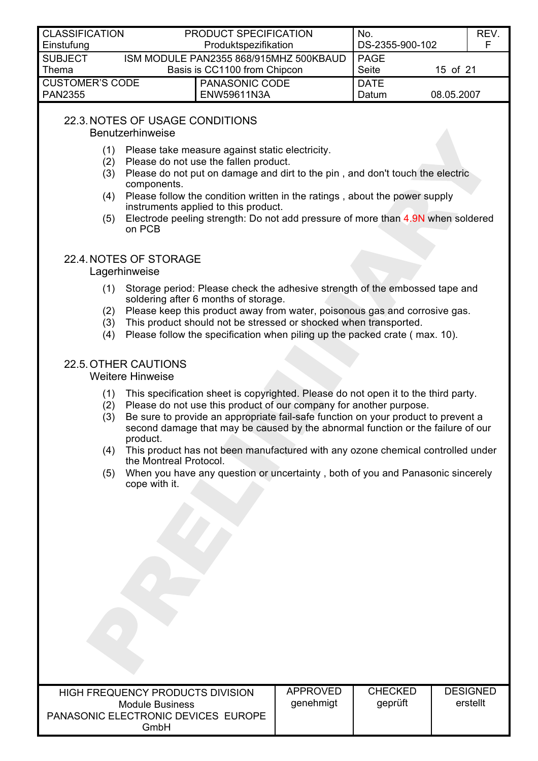<span id="page-14-0"></span>

| <b>CLASSIFICATION</b><br>Einstufung      | PRODUCT SPECIFICATION<br>Produktspezifikation                          | No.<br>DS-2355-900-102 |            | REV. |
|------------------------------------------|------------------------------------------------------------------------|------------------------|------------|------|
| <b>SUBJECT</b><br>Thema                  | ISM MODULE PAN2355 868/915MHZ 500KBAUD<br>Basis is CC1100 from Chipcon | <b>PAGE</b><br>Seite   | 15 of 21   |      |
| <b>CUSTOMER'S CODE</b><br><b>PAN2355</b> | PANASONIC CODE<br>ENW59611N3A                                          | DATE<br>Datum          | 08.05.2007 |      |

## 22.3. NOTES OF USAGE CONDITIONS

Benutzerhinweise

- (1) Please take measure against static electricity.
- (2) Please do not use the fallen product.
- (3) Please do not put on damage and dirt to the pin , and don't touch the electric components.
- (4) Please follow the condition written in the ratings , about the power supply instruments applied to this product.
- (5) Electrode peeling strength: Do not add pressure of more than 4.9N when soldered on PCB

## 22.4. NOTES OF STORAGE

### **Lagerhinweise**

- (1) Storage period: Please check the adhesive strength of the embossed tape and soldering after 6 months of storage.
- (2) Please keep this product away from water, poisonous gas and corrosive gas.
- (3) This product should not be stressed or shocked when transported.
- (4) Please follow the specification when piling up the packed crate ( max. 10).

# 22.5. OTHER CAUTIONS

#### Weitere Hinweise

- (1) This specification sheet is copyrighted. Please do not open it to the third party.
- (2) Please do not use this product of our company for another purpose.
- (3) Be sure to provide an appropriate fail-safe function on your product to prevent a second damage that may be caused by the abnormal function or the failure of our product.
- (4) This product has not been manufactured with any ozone chemical controlled under the Montreal Protocol.
- (5) When you have any question or uncertainty , both of you and Panasonic sincerely cope with it.

| HIGH FREQUENCY PRODUCTS DIVISION<br>Module Business<br>PANASONIC ELECTRONIC DEVICES EUROPE | APPROVED<br>genehmigt | <b>CHECKED</b><br>geprüft | <b>DESIGNED</b><br>erstellt |
|--------------------------------------------------------------------------------------------|-----------------------|---------------------------|-----------------------------|
| GmbH                                                                                       |                       |                           |                             |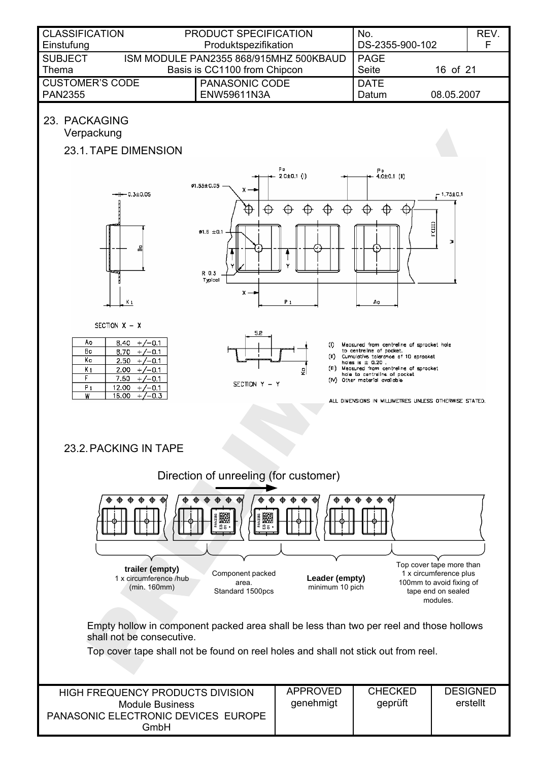<span id="page-15-1"></span><span id="page-15-0"></span>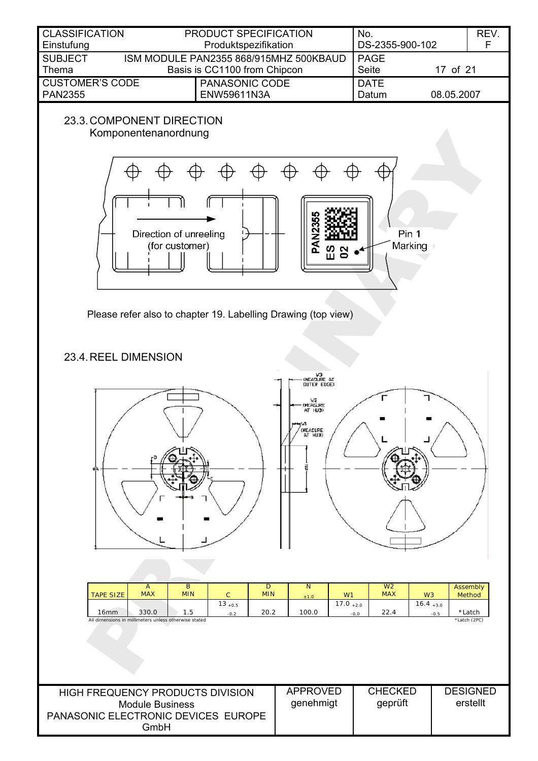<span id="page-16-0"></span>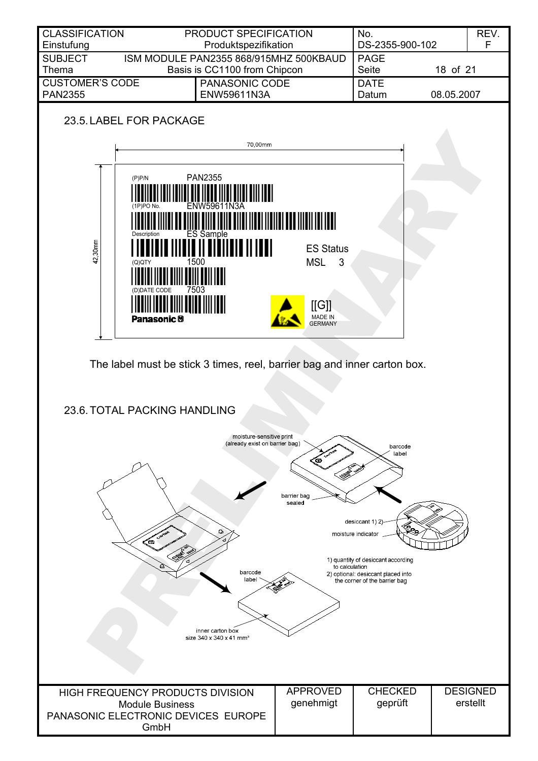<span id="page-17-0"></span>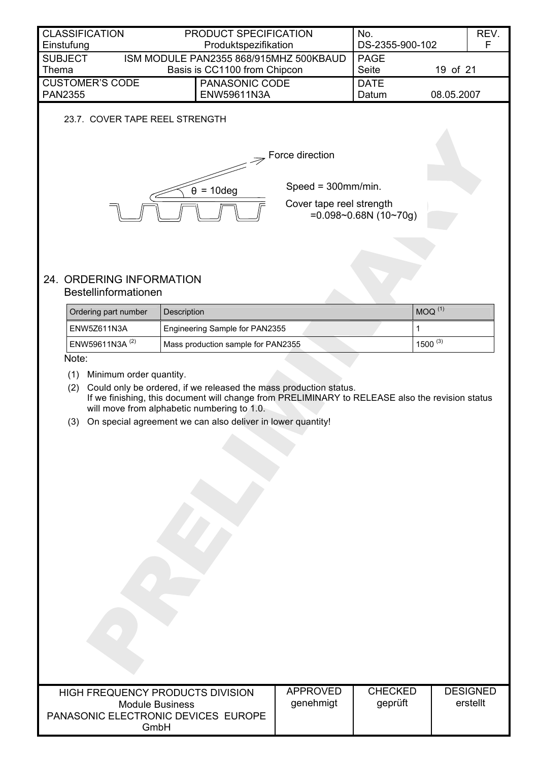<span id="page-18-4"></span><span id="page-18-3"></span><span id="page-18-2"></span><span id="page-18-1"></span><span id="page-18-0"></span>

| <b>CLASSIFICATION</b><br>Einstufung                           | PRODUCT SPECIFICATION<br>Produktspezifikation                                                                                                                        |                       | No.<br>DS-2355-900-102 |              | REV.<br>F       |
|---------------------------------------------------------------|----------------------------------------------------------------------------------------------------------------------------------------------------------------------|-----------------------|------------------------|--------------|-----------------|
| <b>SUBJECT</b>                                                | ISM MODULE PAN2355 868/915MHZ 500KBAUD                                                                                                                               |                       | <b>PAGE</b>            |              |                 |
| Thema                                                         | Basis is CC1100 from Chipcon                                                                                                                                         |                       | Seite                  | 19 of 21     |                 |
| <b>CUSTOMER'S CODE</b><br><b>PAN2355</b>                      | PANASONIC CODE<br>ENW59611N3A                                                                                                                                        |                       | <b>DATE</b><br>Datum   | 08.05.2007   |                 |
| 23.7. COVER TAPE REEL STRENGTH                                |                                                                                                                                                                      |                       |                        |              |                 |
|                                                               |                                                                                                                                                                      |                       |                        |              |                 |
|                                                               |                                                                                                                                                                      | Force direction       |                        |              |                 |
|                                                               |                                                                                                                                                                      |                       |                        |              |                 |
|                                                               |                                                                                                                                                                      | Speed = $300$ mm/min. |                        |              |                 |
|                                                               | $\theta$ = 10deg                                                                                                                                                     |                       |                        |              |                 |
| Cover tape reel strength<br>$=0.098 - 0.68N(10 - 70g)$        |                                                                                                                                                                      |                       |                        |              |                 |
|                                                               |                                                                                                                                                                      |                       |                        |              |                 |
|                                                               |                                                                                                                                                                      |                       |                        |              |                 |
|                                                               |                                                                                                                                                                      |                       |                        |              |                 |
| 24. ORDERING INFORMATION                                      |                                                                                                                                                                      |                       |                        |              |                 |
| Bestellinformationen                                          |                                                                                                                                                                      |                       |                        |              |                 |
| Ordering part number                                          | Description                                                                                                                                                          |                       |                        | $MOQ^{(1)}$  |                 |
| ENW5Z611N3A                                                   | Engineering Sample for PAN2355                                                                                                                                       |                       | 1                      |              |                 |
| ENW59611N3A <sup>(2)</sup>                                    | Mass production sample for PAN2355                                                                                                                                   |                       |                        | $1500^{(3)}$ |                 |
| Note:                                                         |                                                                                                                                                                      |                       |                        |              |                 |
| Minimum order quantity.<br>(1)                                |                                                                                                                                                                      |                       |                        |              |                 |
| (2)                                                           | Could only be ordered, if we released the mass production status.<br>If we finishing, this document will change from PRELIMINARY to RELEASE also the revision status |                       |                        |              |                 |
|                                                               | will move from alphabetic numbering to 1.0.                                                                                                                          |                       |                        |              |                 |
| (3)                                                           | On special agreement we can also deliver in lower quantity!                                                                                                          |                       |                        |              |                 |
|                                                               |                                                                                                                                                                      |                       |                        |              |                 |
|                                                               |                                                                                                                                                                      |                       |                        |              |                 |
|                                                               |                                                                                                                                                                      |                       |                        |              |                 |
|                                                               |                                                                                                                                                                      |                       |                        |              |                 |
|                                                               |                                                                                                                                                                      |                       |                        |              |                 |
|                                                               |                                                                                                                                                                      |                       |                        |              |                 |
|                                                               |                                                                                                                                                                      |                       |                        |              |                 |
|                                                               |                                                                                                                                                                      |                       |                        |              |                 |
|                                                               |                                                                                                                                                                      |                       |                        |              |                 |
|                                                               |                                                                                                                                                                      |                       |                        |              |                 |
|                                                               |                                                                                                                                                                      |                       |                        |              |                 |
|                                                               |                                                                                                                                                                      |                       |                        |              |                 |
|                                                               |                                                                                                                                                                      |                       |                        |              |                 |
|                                                               |                                                                                                                                                                      |                       |                        |              |                 |
|                                                               |                                                                                                                                                                      |                       |                        |              |                 |
|                                                               |                                                                                                                                                                      |                       |                        |              |                 |
|                                                               |                                                                                                                                                                      |                       |                        |              |                 |
| <b>HIGH FREQUENCY PRODUCTS DIVISION</b>                       |                                                                                                                                                                      | <b>APPROVED</b>       | <b>CHECKED</b>         |              | <b>DESIGNED</b> |
| <b>Module Business</b><br>PANASONIC ELECTRONIC DEVICES EUROPE |                                                                                                                                                                      | genehmigt             | geprüft                |              | erstellt        |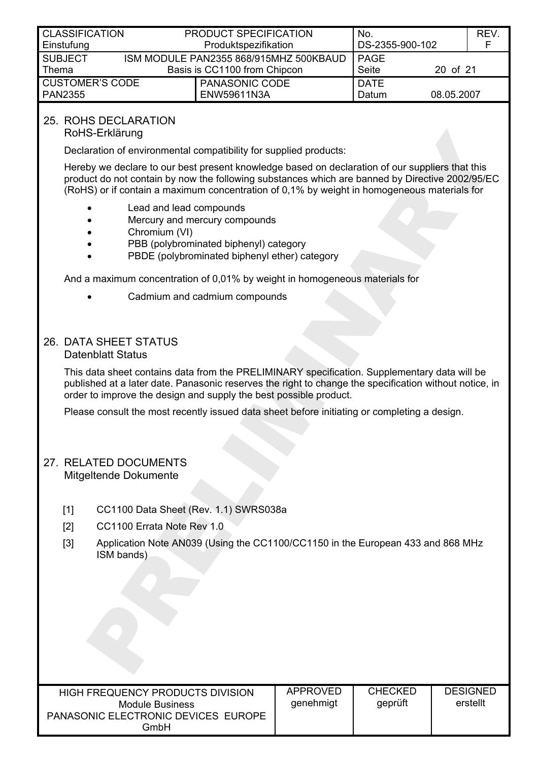<span id="page-19-0"></span>

| <b>CLASSIFICATION</b><br>Einstufung      | PRODUCT SPECIFICATION<br>Produktspezifikation                          | No.<br>DS-2355-900-102 |            | REV.<br>E |
|------------------------------------------|------------------------------------------------------------------------|------------------------|------------|-----------|
| <b>SUBJECT</b><br>Thema                  | ISM MODULE PAN2355 868/915MHZ 500KBAUD<br>Basis is CC1100 from Chipcon | PAGE<br>Seite          | 20 of 21   |           |
| <b>CUSTOMER'S CODE</b><br><b>PAN2355</b> | PANASONIC CODE<br>ENW59611N3A                                          | <b>DATE</b><br>Datum   | 08.05.2007 |           |

## 25. ROHS DECLARATION

<span id="page-19-3"></span>RoHS-Erklärung

Declaration of environmental compatibility for supplied products:

Hereby we declare to our best present knowledge based on declaration of our suppliers that this product do not contain by now the following substances which are banned by Directive 2002/95/EC (RoHS) or if contain a maximum concentration of 0,1% by weight in homogeneous materials for

- Lead and lead compounds
- Mercury and mercury compounds
- Chromium (VI)
- PBB (polybrominated biphenyl) category
- PBDE (polybrominated biphenyl ether) category

And a maximum concentration of 0,01% by weight in homogeneous materials for

• Cadmium and cadmium compounds

## 26. DATA SHEET STATUS

#### Datenblatt Status

This data sheet contains data from the PRELIMINARY specification. Supplementary data will be published at a later date. Panasonic reserves the right to change the specification without notice, in order to improve the design and supply the best possible product.

Please consult the most recently issued data sheet before initiating or completing a design.

#### <span id="page-19-2"></span>27. RELATED DOCUMENTS Mitgeltende Dokumente

- <span id="page-19-1"></span>[1] CC1100 Data Sheet (Rev. 1.1) SWRS038a
- [2] CC1100 Errata Note Rev 1.0
- [3] Application Note AN039 (Using the CC1100/CC1150 in the European 433 and 868 MHz ISM bands)

| APPROVED<br>HIGH FREQUENCY PRODUCTS DIVISION<br>genehmigt<br>Module Business<br>PANASONIC ELECTRONIC DEVICES EUROPE<br>GmbH | <b>CHECKED</b><br>qeprüft | <b>DESIGNED</b><br>erstellt |
|-----------------------------------------------------------------------------------------------------------------------------|---------------------------|-----------------------------|